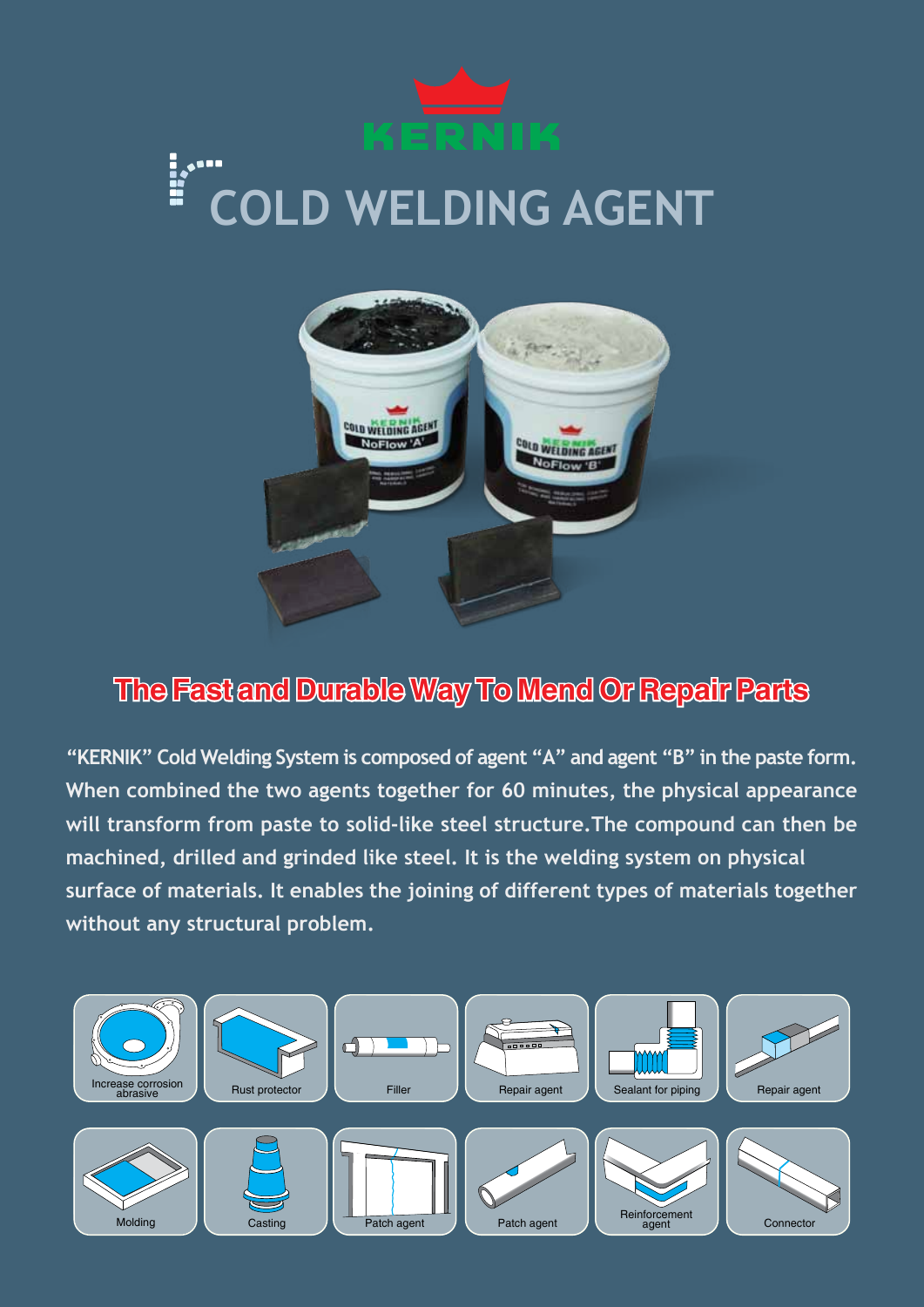# **COLD WELDING AGENT**



# **The Fast and Durable Way To Mend Or Repair Parts**

**"KERNIK" Cold Welding System is composed of agent "A" and agent "B" in the paste form. When combined the two agents together for 60 minutes, the physical appearance will transform from paste to solid-like steel structure.The compound can then be machined, drilled and grinded like steel. It is the welding system on physical surface of materials. It enables the joining of different types of materials together without any structural problem.**